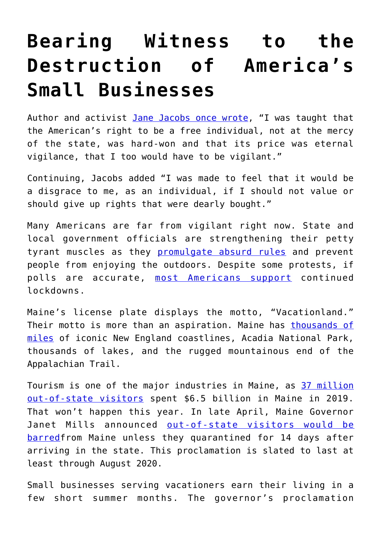## **[Bearing Witness to the](https://intellectualtakeout.org/2020/05/bearing-witness-to-the-destruction-of-americas-small-businesses/) [Destruction of America's](https://intellectualtakeout.org/2020/05/bearing-witness-to-the-destruction-of-americas-small-businesses/) [Small Businesses](https://intellectualtakeout.org/2020/05/bearing-witness-to-the-destruction-of-americas-small-businesses/)**

Author and activist [Jane Jacobs once wrote](https://www.amazon.com/gp/product/0813537924/ref=as_li_tl?ie=UTF8&camp=1789&creative=9325&creativeASIN=0813537924&linkCode=as2&tag=intelltakeo0d-20&linkId=d7461a874bc93837a45d9f7e0754f21b), "I was taught that the American's right to be a free individual, not at the mercy of the state, was hard-won and that its price was eternal vigilance, that I too would have to be vigilant."

Continuing, Jacobs added "I was made to feel that it would be a disgrace to me, as an individual, if I should not value or should give up rights that were dearly bought."

Many Americans are far from vigilant right now. State and local government officials are strengthening their petty tyrant muscles as they [promulgate absurd rules](https://www.forbes.com/sites/nicksibilla/2020/04/16/michigan-bans-many-stores-from-selling-seeds-home-gardening-supplies-calls-them-not-necessary/#4f7ac0a05f80) and prevent people from enjoying the outdoors. Despite some protests, if polls are accurate, [most Americans support](https://thehill.com/policy/healthcare/495382-majority-of-americans-support-another-two-weeks-of-lockdown-poll) continued lockdowns.

Maine's license plate displays the motto, "Vacationland." Their motto is more than an aspiration. Maine has [thousands of](https://www.visitmaine.net/page/47/fun-facts) [miles](https://www.visitmaine.net/page/47/fun-facts) of iconic New England coastlines, Acadia National Park, thousands of lakes, and the rugged mountainous end of the Appalachian Trail.

Tourism is one of the major industries in Maine, as [37 million](https://www.theguardian.com/world/2020/may/03/maine-tourist-industry-coronavirus-outbreak-us) [out-of-state visitors](https://www.theguardian.com/world/2020/may/03/maine-tourist-industry-coronavirus-outbreak-us) spent \$6.5 billion in Maine in 2019. That won't happen this year. In late April, Maine Governor Janet Mills announced [out-of-state visitors would be](https://www.maine.gov/covid19/restartingmaine) [barred](https://www.maine.gov/covid19/restartingmaine)from Maine unless they quarantined for 14 days after arriving in the state. This proclamation is slated to last at least through August 2020.

Small businesses serving vacationers earn their living in a few short summer months. The governor's proclamation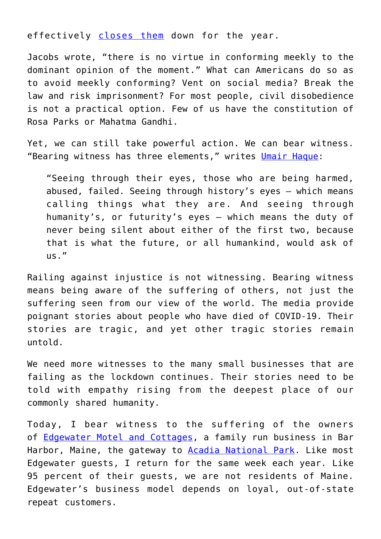effectively [closes them](https://www.pressherald.com/2020/04/29/maine-tourism-industry-worries-quarantine-rule-will-cancel-summer/) down for the year.

Jacobs wrote, "there is no virtue in conforming meekly to the dominant opinion of the moment." What can Americans do so as to avoid meekly conforming? Vent on social media? Break the law and risk imprisonment? For most people, civil disobedience is not a practical option. Few of us have the constitution of Rosa Parks or Mahatma Gandhi.

Yet, we can still take powerful action. We can bear witness. "Bearing witness has three elements," writes [Umair Haque:](https://umairhaque.com/why-our-first-responsibility-is-bearing-witness-2e493c4d3fd)

"Seeing through their eyes, those who are being harmed, abused, failed. Seeing through history's eyes — which means calling things what they are. And seeing through humanity's, or futurity's eyes — which means the duty of never being silent about either of the first two, because that is what the future, or all humankind, would ask of  $US.$ "

Railing against injustice is not witnessing. Bearing witness means being aware of the suffering of others, not just the suffering seen from our view of the world. The media provide poignant stories about people who have died of COVID-19. Their stories are tragic, and yet other tragic stories remain untold.

We need more witnesses to the many small businesses that are failing as the lockdown continues. Their stories need to be told with empathy rising from the deepest place of our commonly shared humanity.

Today, I bear witness to the suffering of the owners of [Edgewater Motel and Cottages](http://www.edgewaterbarharbor.com/), a family run business in Bar Harbor, Maine, the gateway to **Acadia National Park**. Like most Edgewater guests, I return for the same week each year. Like 95 percent of their guests, we are not residents of Maine. Edgewater's business model depends on loyal, out-of-state repeat customers.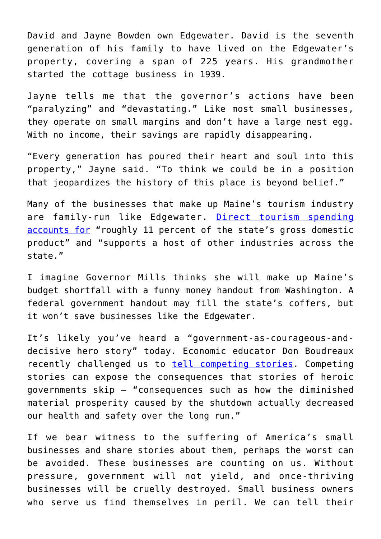David and Jayne Bowden own Edgewater. David is the seventh generation of his family to have lived on the Edgewater's property, covering a span of 225 years. His grandmother started the cottage business in 1939.

Jayne tells me that the governor's actions have been "paralyzing" and "devastating." Like most small businesses, they operate on small margins and don't have a large nest egg. With no income, their savings are rapidly disappearing.

"Every generation has poured their heart and soul into this property," Jayne said. "To think we could be in a position that jeopardizes the history of this place is beyond belief."

Many of the businesses that make up Maine's tourism industry are family-run like Edgewater. [Direct tourism spending](https://www.pressherald.com/2020/04/29/maine-tourism-industry-worries-quarantine-rule-will-cancel-summer/) [accounts for](https://www.pressherald.com/2020/04/29/maine-tourism-industry-worries-quarantine-rule-will-cancel-summer/) "roughly 11 percent of the state's gross domestic product" and "supports a host of other industries across the state."

I imagine Governor Mills thinks she will make up Maine's budget shortfall with a funny money handout from Washington. A federal government handout may fill the state's coffers, but it won't save businesses like the Edgewater.

It's likely you've heard a "government-as-courageous-anddecisive hero story" today. Economic educator Don Boudreaux recently challenged us to [tell competing stories](https://www.aier.org/article/socialists-and-their-silly-stories/). Competing stories can expose the consequences that stories of heroic governments skip – "consequences such as how the diminished material prosperity caused by the shutdown actually decreased our health and safety over the long run."

If we bear witness to the suffering of America's small businesses and share stories about them, perhaps the worst can be avoided. These businesses are counting on us. Without pressure, government will not yield, and once-thriving businesses will be cruelly destroyed. Small business owners who serve us find themselves in peril. We can tell their